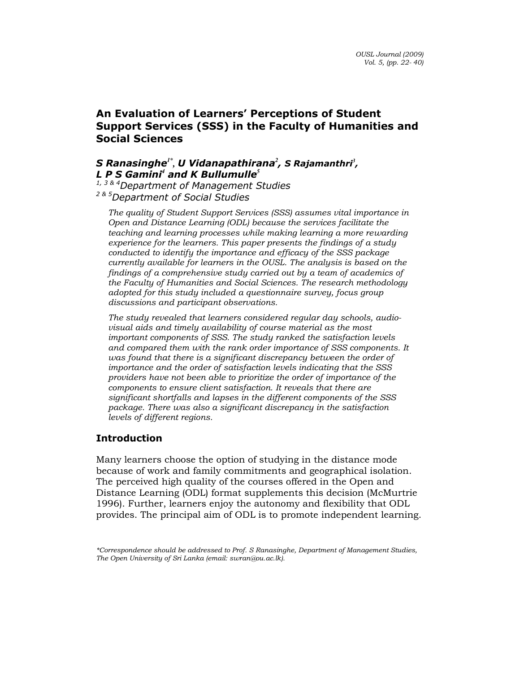# An Evaluation of Learners' Perceptions of Student Support Services (SSS) in the Faculty of Humanities and Social Sciences

# S Ranasinghe<sup>1\*</sup>, U Vidanapathirana<sup>2</sup>, S Rajamanthri<sup>3</sup>, L P S Gamini<sup>4</sup> and K Bullumulle<sup>5</sup>

<sup>1, 3 & 4</sup>Department of Management Studies <sup>2 & 5</sup>Department of Social Studies

The quality of Student Support Services (SSS) assumes vital importance in Open and Distance Learning (ODL) because the services facilitate the teaching and learning processes while making learning a more rewarding experience for the learners. This paper presents the findings of a study conducted to identify the importance and efficacy of the SSS package currently available for learners in the OUSL. The analysis is based on the findings of a comprehensive study carried out by a team of academics of the Faculty of Humanities and Social Sciences. The research methodology adopted for this study included a questionnaire survey, focus group discussions and participant observations.

The study revealed that learners considered regular day schools, audiovisual aids and timely availability of course material as the most important components of SSS. The study ranked the satisfaction levels and compared them with the rank order importance of SSS components. It was found that there is a significant discrepancy between the order of importance and the order of satisfaction levels indicating that the SSS providers have not been able to prioritize the order of importance of the components to ensure client satisfaction. It reveals that there are significant shortfalls and lapses in the different components of the SSS package. There was also a significant discrepancy in the satisfaction levels of different regions.

# Introduction

Many learners choose the option of studying in the distance mode because of work and family commitments and geographical isolation. The perceived high quality of the courses offered in the Open and Distance Learning (ODL) format supplements this decision (McMurtrie 1996). Further, learners enjoy the autonomy and flexibility that ODL provides. The principal aim of ODL is to promote independent learning.

<sup>\*</sup>Correspondence should be addressed to Prof. S Ranasinghe, Department of Management Studies, The Open University of Sri Lanka (email: swran@ou.ac.lk).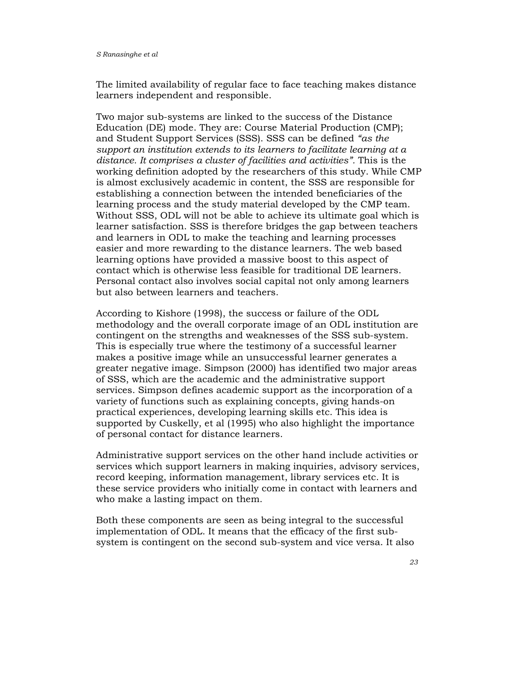The limited availability of regular face to face teaching makes distance learners independent and responsible.

Two major sub-systems are linked to the success of the Distance Education (DE) mode. They are: Course Material Production (CMP); and Student Support Services (SSS). SSS can be defined "as the support an institution extends to its learners to facilitate learning at a distance. It comprises a cluster of facilities and activities". This is the working definition adopted by the researchers of this study. While CMP is almost exclusively academic in content, the SSS are responsible for establishing a connection between the intended beneficiaries of the learning process and the study material developed by the CMP team. Without SSS, ODL will not be able to achieve its ultimate goal which is learner satisfaction. SSS is therefore bridges the gap between teachers and learners in ODL to make the teaching and learning processes easier and more rewarding to the distance learners. The web based learning options have provided a massive boost to this aspect of contact which is otherwise less feasible for traditional DE learners. Personal contact also involves social capital not only among learners but also between learners and teachers.

According to Kishore (1998), the success or failure of the ODL methodology and the overall corporate image of an ODL institution are contingent on the strengths and weaknesses of the SSS sub-system. This is especially true where the testimony of a successful learner makes a positive image while an unsuccessful learner generates a greater negative image. Simpson (2000) has identified two major areas of SSS, which are the academic and the administrative support services. Simpson defines academic support as the incorporation of a variety of functions such as explaining concepts, giving hands-on practical experiences, developing learning skills etc. This idea is supported by Cuskelly, et al (1995) who also highlight the importance of personal contact for distance learners.

Administrative support services on the other hand include activities or services which support learners in making inquiries, advisory services, record keeping, information management, library services etc. It is these service providers who initially come in contact with learners and who make a lasting impact on them.

Both these components are seen as being integral to the successful implementation of ODL. It means that the efficacy of the first subsystem is contingent on the second sub-system and vice versa. It also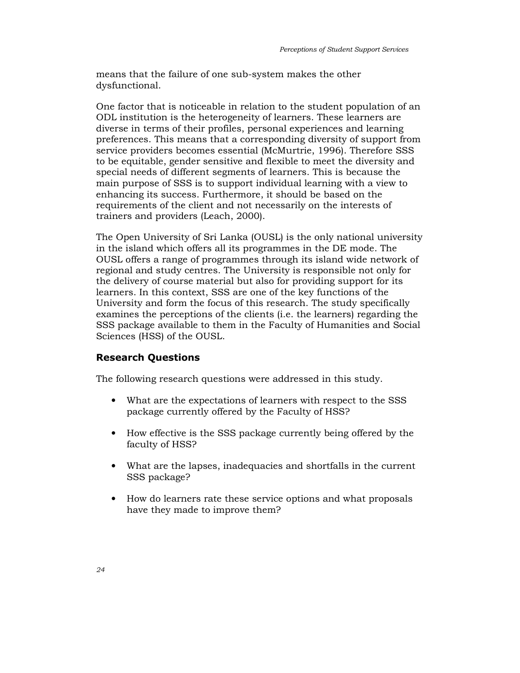means that the failure of one sub-system makes the other dysfunctional.

One factor that is noticeable in relation to the student population of an ODL institution is the heterogeneity of learners. These learners are diverse in terms of their profiles, personal experiences and learning preferences. This means that a corresponding diversity of support from service providers becomes essential (McMurtrie, 1996). Therefore SSS to be equitable, gender sensitive and flexible to meet the diversity and special needs of different segments of learners. This is because the main purpose of SSS is to support individual learning with a view to enhancing its success. Furthermore, it should be based on the requirements of the client and not necessarily on the interests of trainers and providers (Leach, 2000).

The Open University of Sri Lanka (OUSL) is the only national university in the island which offers all its programmes in the DE mode. The OUSL offers a range of programmes through its island wide network of regional and study centres. The University is responsible not only for the delivery of course material but also for providing support for its learners. In this context, SSS are one of the key functions of the University and form the focus of this research. The study specifically examines the perceptions of the clients (i.e. the learners) regarding the SSS package available to them in the Faculty of Humanities and Social Sciences (HSS) of the OUSL.

## Research Questions

The following research questions were addressed in this study.

- What are the expectations of learners with respect to the SSS package currently offered by the Faculty of HSS?
- How effective is the SSS package currently being offered by the faculty of HSS?
- What are the lapses, inadequacies and shortfalls in the current SSS package?
- How do learners rate these service options and what proposals have they made to improve them?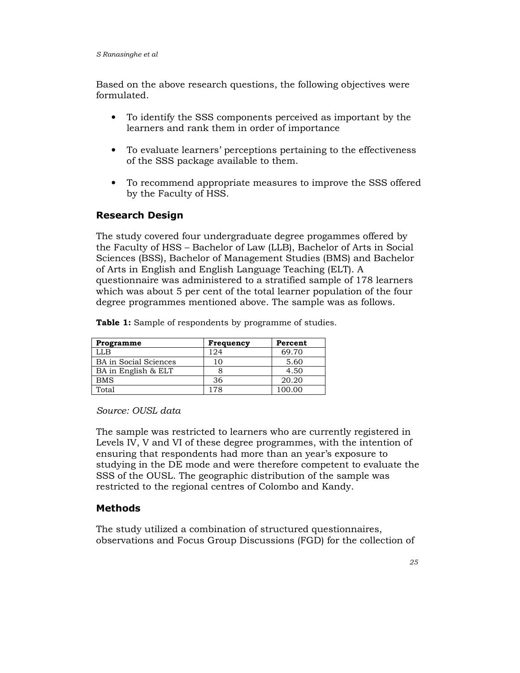Based on the above research questions, the following objectives were formulated.

- To identify the SSS components perceived as important by the learners and rank them in order of importance
- To evaluate learners' perceptions pertaining to the effectiveness of the SSS package available to them.
- To recommend appropriate measures to improve the SSS offered by the Faculty of HSS.

# Research Design

The study covered four undergraduate degree progammes offered by the Faculty of HSS – Bachelor of Law (LLB), Bachelor of Arts in Social Sciences (BSS), Bachelor of Management Studies (BMS) and Bachelor of Arts in English and English Language Teaching (ELT). A questionnaire was administered to a stratified sample of 178 learners which was about 5 per cent of the total learner population of the four degree programmes mentioned above. The sample was as follows.

Table 1: Sample of respondents by programme of studies.

| Programme             | Frequency | Percent |
|-----------------------|-----------|---------|
| LLB.                  | 124       | 69.70   |
| BA in Social Sciences | 10        | 5.60    |
| BA in English & ELT   |           | 4.50    |
| <b>BMS</b>            | 36        | 20.20   |
| Total                 | 178       | 100.00  |

Source: OUSL data

The sample was restricted to learners who are currently registered in Levels IV, V and VI of these degree programmes, with the intention of ensuring that respondents had more than an year's exposure to studying in the DE mode and were therefore competent to evaluate the SSS of the OUSL. The geographic distribution of the sample was restricted to the regional centres of Colombo and Kandy.

# Methods

The study utilized a combination of structured questionnaires, observations and Focus Group Discussions (FGD) for the collection of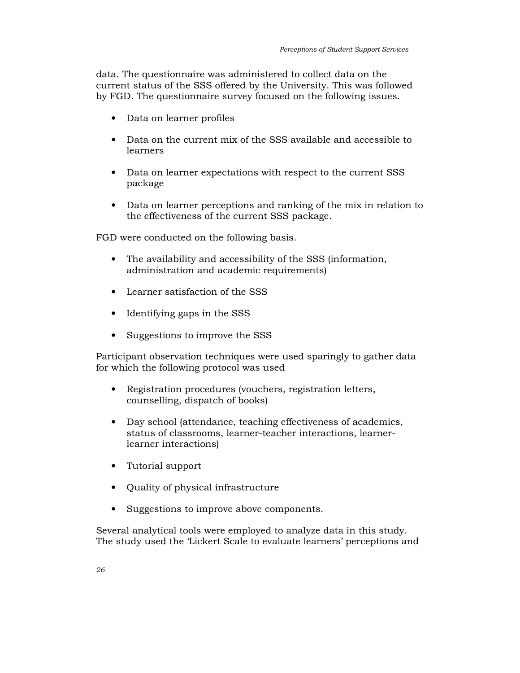data. The questionnaire was administered to collect data on the current status of the SSS offered by the University. This was followed by FGD. The questionnaire survey focused on the following issues.

- Data on learner profiles
- Data on the current mix of the SSS available and accessible to learners
- Data on learner expectations with respect to the current SSS package
- Data on learner perceptions and ranking of the mix in relation to the effectiveness of the current SSS package.

FGD were conducted on the following basis.

- The availability and accessibility of the SSS (information, administration and academic requirements)
- Learner satisfaction of the SSS
- Identifying gaps in the SSS
- Suggestions to improve the SSS

Participant observation techniques were used sparingly to gather data for which the following protocol was used

- Registration procedures (vouchers, registration letters, counselling, dispatch of books)
- Day school (attendance, teaching effectiveness of academics, status of classrooms, learner-teacher interactions, learnerlearner interactions)
- Tutorial support
- Quality of physical infrastructure
- Suggestions to improve above components.

Several analytical tools were employed to analyze data in this study. The study used the 'Lickert Scale to evaluate learners' perceptions and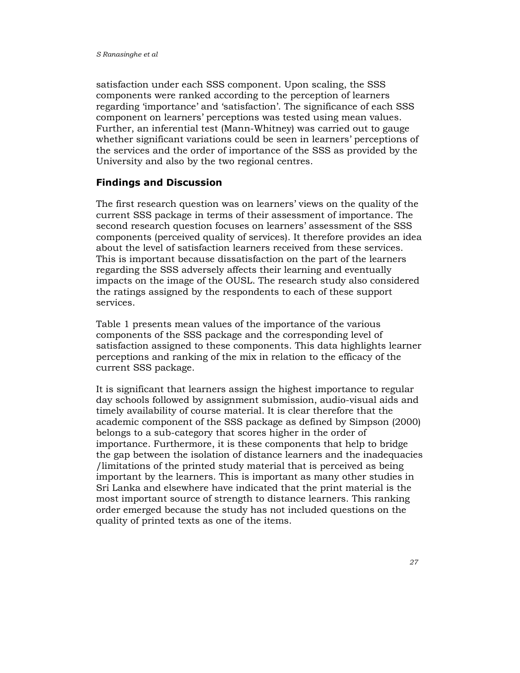satisfaction under each SSS component. Upon scaling, the SSS components were ranked according to the perception of learners regarding 'importance' and 'satisfaction'. The significance of each SSS component on learners' perceptions was tested using mean values. Further, an inferential test (Mann-Whitney) was carried out to gauge whether significant variations could be seen in learners' perceptions of the services and the order of importance of the SSS as provided by the University and also by the two regional centres.

## Findings and Discussion

The first research question was on learners' views on the quality of the current SSS package in terms of their assessment of importance. The second research question focuses on learners' assessment of the SSS components (perceived quality of services). It therefore provides an idea about the level of satisfaction learners received from these services. This is important because dissatisfaction on the part of the learners regarding the SSS adversely affects their learning and eventually impacts on the image of the OUSL. The research study also considered the ratings assigned by the respondents to each of these support services.

Table 1 presents mean values of the importance of the various components of the SSS package and the corresponding level of satisfaction assigned to these components. This data highlights learner perceptions and ranking of the mix in relation to the efficacy of the current SSS package.

It is significant that learners assign the highest importance to regular day schools followed by assignment submission, audio-visual aids and timely availability of course material. It is clear therefore that the academic component of the SSS package as defined by Simpson (2000) belongs to a sub-category that scores higher in the order of importance. Furthermore, it is these components that help to bridge the gap between the isolation of distance learners and the inadequacies /limitations of the printed study material that is perceived as being important by the learners. This is important as many other studies in Sri Lanka and elsewhere have indicated that the print material is the most important source of strength to distance learners. This ranking order emerged because the study has not included questions on the quality of printed texts as one of the items.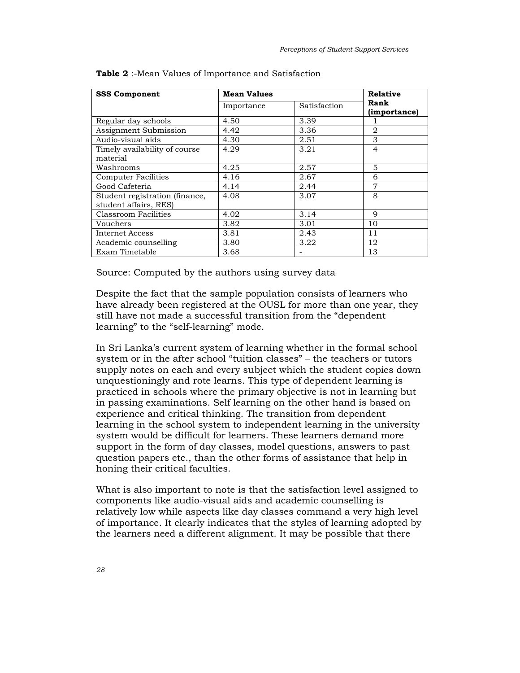| <b>SSS Component</b>                                    | <b>Mean Values</b> |              | <b>Relative</b>      |
|---------------------------------------------------------|--------------------|--------------|----------------------|
|                                                         | Importance         | Satisfaction | Rank<br>(importance) |
| Regular day schools                                     | 4.50               | 3.39         |                      |
| Assignment Submission                                   | 4.42               | 3.36         | 2                    |
| Audio-visual aids                                       | 4.30               | 2.51         | 3                    |
| Timely availability of course<br>material               | 4.29               | 3.21         | $\overline{4}$       |
| Washrooms                                               | 4.25               | 2.57         | 5                    |
| Computer Facilities                                     | 4.16               | 2.67         | 6                    |
| Good Cafeteria                                          | 4.14               | 2.44         | 7                    |
| Student registration (finance,<br>student affairs, RES) | 4.08               | 3.07         | 8                    |
| Classroom Facilities                                    | 4.02               | 3.14         | 9                    |
| Vouchers                                                | 3.82               | 3.01         | 10                   |
| <b>Internet Access</b>                                  | 3.81               | 2.43         | 11                   |
| Academic counselling                                    | 3.80               | 3.22         | 12                   |
| Exam Timetable                                          | 3.68               |              | 13                   |

|  | <b>Table 2</b> :-Mean Values of Importance and Satisfaction |  |
|--|-------------------------------------------------------------|--|
|--|-------------------------------------------------------------|--|

Source: Computed by the authors using survey data

Despite the fact that the sample population consists of learners who have already been registered at the OUSL for more than one year, they still have not made a successful transition from the "dependent learning" to the "self-learning" mode.

In Sri Lanka's current system of learning whether in the formal school system or in the after school "tuition classes" – the teachers or tutors supply notes on each and every subject which the student copies down unquestioningly and rote learns. This type of dependent learning is practiced in schools where the primary objective is not in learning but in passing examinations. Self learning on the other hand is based on experience and critical thinking. The transition from dependent learning in the school system to independent learning in the university system would be difficult for learners. These learners demand more support in the form of day classes, model questions, answers to past question papers etc., than the other forms of assistance that help in honing their critical faculties.

What is also important to note is that the satisfaction level assigned to components like audio-visual aids and academic counselling is relatively low while aspects like day classes command a very high level of importance. It clearly indicates that the styles of learning adopted by the learners need a different alignment. It may be possible that there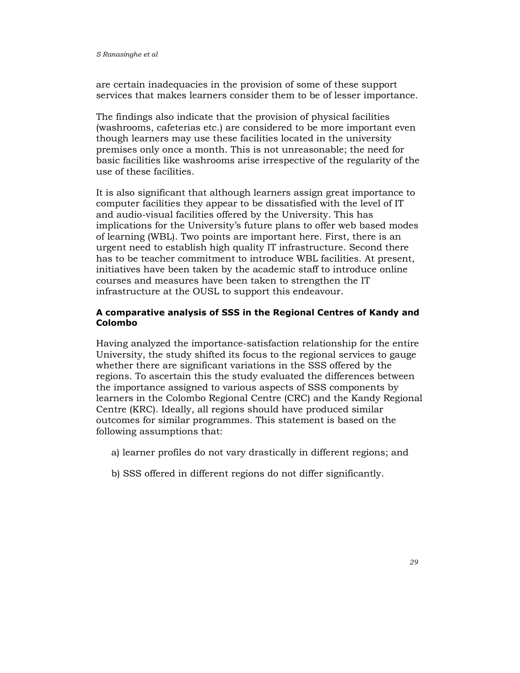are certain inadequacies in the provision of some of these support services that makes learners consider them to be of lesser importance.

The findings also indicate that the provision of physical facilities (washrooms, cafeterias etc.) are considered to be more important even though learners may use these facilities located in the university premises only once a month. This is not unreasonable; the need for basic facilities like washrooms arise irrespective of the regularity of the use of these facilities.

It is also significant that although learners assign great importance to computer facilities they appear to be dissatisfied with the level of IT and audio-visual facilities offered by the University. This has implications for the University's future plans to offer web based modes of learning (WBL). Two points are important here. First, there is an urgent need to establish high quality IT infrastructure. Second there has to be teacher commitment to introduce WBL facilities. At present, initiatives have been taken by the academic staff to introduce online courses and measures have been taken to strengthen the IT infrastructure at the OUSL to support this endeavour.

### A comparative analysis of SSS in the Regional Centres of Kandy and Colombo

Having analyzed the importance-satisfaction relationship for the entire University, the study shifted its focus to the regional services to gauge whether there are significant variations in the SSS offered by the regions. To ascertain this the study evaluated the differences between the importance assigned to various aspects of SSS components by learners in the Colombo Regional Centre (CRC) and the Kandy Regional Centre (KRC). Ideally, all regions should have produced similar outcomes for similar programmes. This statement is based on the following assumptions that:

- a) learner profiles do not vary drastically in different regions; and
- b) SSS offered in different regions do not differ significantly.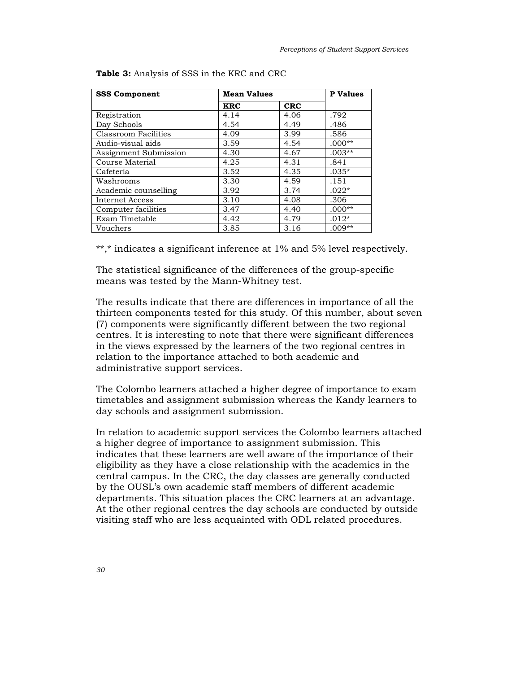| <b>SSS Component</b>  | <b>Mean Values</b> |            | <b>P</b> Values |
|-----------------------|--------------------|------------|-----------------|
|                       | <b>KRC</b>         | <b>CRC</b> |                 |
| Registration          | 4.14               | 4.06       | .792            |
| Day Schools           | 4.54               | 4.49       | .486            |
| Classroom Facilities  | 4.09               | 3.99       | .586            |
| Audio-visual aids     | 3.59               | 4.54       | $.000**$        |
| Assignment Submission | 4.30               | 4.67       | $.003**$        |
| Course Material       | 4.25               | 4.31       | .841            |
| Cafeteria             | 3.52               | 4.35       | $.035*$         |
| Washrooms             | 3.30               | 4.59       | .151            |
| Academic counselling  | 3.92               | 3.74       | $.022*$         |
| Internet Access       | 3.10               | 4.08       | .306            |
| Computer facilities   | 3.47               | 4.40       | $.000**$        |
| Exam Timetable        | 4.42               | 4.79       | $.012*$         |
| Vouchers              | 3.85               | 3.16       | $.009**$        |

Table 3: Analysis of SSS in the KRC and CRC

\*\*,\* indicates a significant inference at 1% and 5% level respectively.

The statistical significance of the differences of the group-specific means was tested by the Mann-Whitney test.

The results indicate that there are differences in importance of all the thirteen components tested for this study. Of this number, about seven (7) components were significantly different between the two regional centres. It is interesting to note that there were significant differences in the views expressed by the learners of the two regional centres in relation to the importance attached to both academic and administrative support services.

The Colombo learners attached a higher degree of importance to exam timetables and assignment submission whereas the Kandy learners to day schools and assignment submission.

In relation to academic support services the Colombo learners attached a higher degree of importance to assignment submission. This indicates that these learners are well aware of the importance of their eligibility as they have a close relationship with the academics in the central campus. In the CRC, the day classes are generally conducted by the OUSL's own academic staff members of different academic departments. This situation places the CRC learners at an advantage. At the other regional centres the day schools are conducted by outside visiting staff who are less acquainted with ODL related procedures.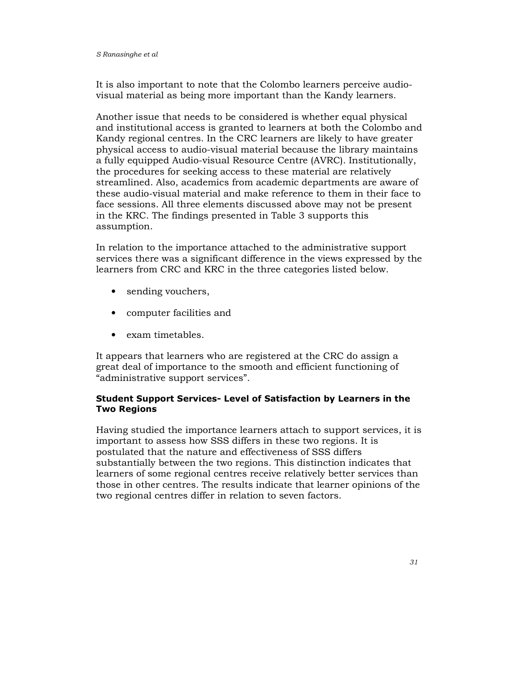It is also important to note that the Colombo learners perceive audiovisual material as being more important than the Kandy learners.

Another issue that needs to be considered is whether equal physical and institutional access is granted to learners at both the Colombo and Kandy regional centres. In the CRC learners are likely to have greater physical access to audio-visual material because the library maintains a fully equipped Audio-visual Resource Centre (AVRC). Institutionally, the procedures for seeking access to these material are relatively streamlined. Also, academics from academic departments are aware of these audio-visual material and make reference to them in their face to face sessions. All three elements discussed above may not be present in the KRC. The findings presented in Table 3 supports this assumption.

In relation to the importance attached to the administrative support services there was a significant difference in the views expressed by the learners from CRC and KRC in the three categories listed below.

- sending vouchers,
- computer facilities and
- exam timetables.

It appears that learners who are registered at the CRC do assign a great deal of importance to the smooth and efficient functioning of "administrative support services".

# Student Support Services- Level of Satisfaction by Learners in the Two Regions

Having studied the importance learners attach to support services, it is important to assess how SSS differs in these two regions. It is postulated that the nature and effectiveness of SSS differs substantially between the two regions. This distinction indicates that learners of some regional centres receive relatively better services than those in other centres. The results indicate that learner opinions of the two regional centres differ in relation to seven factors.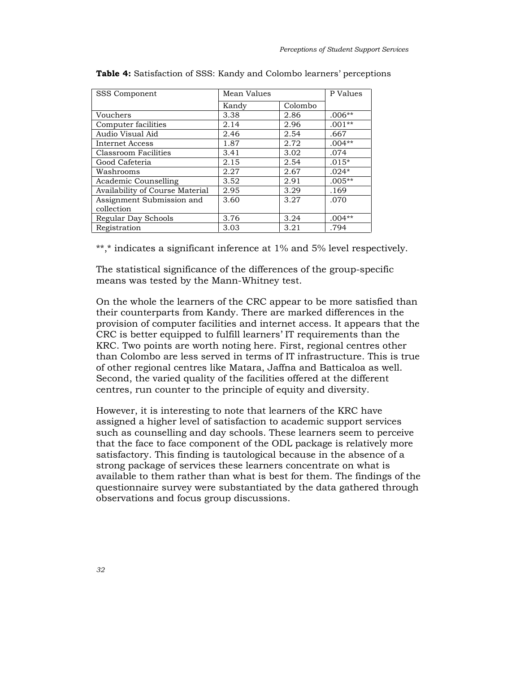| <b>SSS Component</b>            | Mean Values |         | P Values |
|---------------------------------|-------------|---------|----------|
|                                 | Kandy       | Colombo |          |
| Vouchers                        | 3.38        | 2.86    | $.006**$ |
| Computer facilities             | 2.14        | 2.96    | $.001**$ |
| Audio Visual Aid                | 2.46        | 2.54    | .667     |
| Internet Access                 | 1.87        | 2.72    | $.004**$ |
| Classroom Facilities            | 3.41        | 3.02    | .074     |
| Good Cafeteria                  | 2.15        | 2.54    | $.015*$  |
| Washrooms                       | 2.27        | 2.67    | $.024*$  |
| Academic Counselling            | 3.52        | 2.91    | $.005**$ |
| Availability of Course Material | 2.95        | 3.29    | .169     |
| Assignment Submission and       | 3.60        | 3.27    | .070     |
| collection                      |             |         |          |
| Regular Day Schools             | 3.76        | 3.24    | $.004**$ |
| Registration                    | 3.03        | 3.21    | .794     |

Table 4: Satisfaction of SSS: Kandy and Colombo learners' perceptions

\*\*,\* indicates a significant inference at 1% and 5% level respectively.

The statistical significance of the differences of the group-specific means was tested by the Mann-Whitney test.

On the whole the learners of the CRC appear to be more satisfied than their counterparts from Kandy. There are marked differences in the provision of computer facilities and internet access. It appears that the CRC is better equipped to fulfill learners' IT requirements than the KRC. Two points are worth noting here. First, regional centres other than Colombo are less served in terms of IT infrastructure. This is true of other regional centres like Matara, Jaffna and Batticaloa as well. Second, the varied quality of the facilities offered at the different centres, run counter to the principle of equity and diversity.

However, it is interesting to note that learners of the KRC have assigned a higher level of satisfaction to academic support services such as counselling and day schools. These learners seem to perceive that the face to face component of the ODL package is relatively more satisfactory. This finding is tautological because in the absence of a strong package of services these learners concentrate on what is available to them rather than what is best for them. The findings of the questionnaire survey were substantiated by the data gathered through observations and focus group discussions.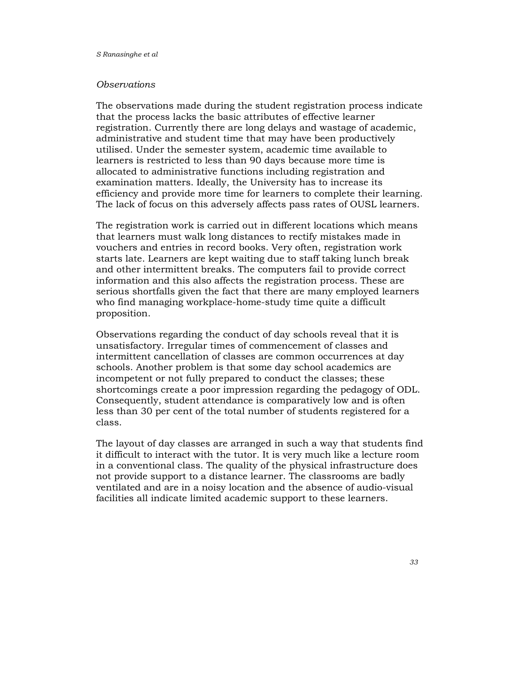#### **Observations**

The observations made during the student registration process indicate that the process lacks the basic attributes of effective learner registration. Currently there are long delays and wastage of academic, administrative and student time that may have been productively utilised. Under the semester system, academic time available to learners is restricted to less than 90 days because more time is allocated to administrative functions including registration and examination matters. Ideally, the University has to increase its efficiency and provide more time for learners to complete their learning. The lack of focus on this adversely affects pass rates of OUSL learners.

The registration work is carried out in different locations which means that learners must walk long distances to rectify mistakes made in vouchers and entries in record books. Very often, registration work starts late. Learners are kept waiting due to staff taking lunch break and other intermittent breaks. The computers fail to provide correct information and this also affects the registration process. These are serious shortfalls given the fact that there are many employed learners who find managing workplace-home-study time quite a difficult proposition.

Observations regarding the conduct of day schools reveal that it is unsatisfactory. Irregular times of commencement of classes and intermittent cancellation of classes are common occurrences at day schools. Another problem is that some day school academics are incompetent or not fully prepared to conduct the classes; these shortcomings create a poor impression regarding the pedagogy of ODL. Consequently, student attendance is comparatively low and is often less than 30 per cent of the total number of students registered for a class.

The layout of day classes are arranged in such a way that students find it difficult to interact with the tutor. It is very much like a lecture room in a conventional class. The quality of the physical infrastructure does not provide support to a distance learner. The classrooms are badly ventilated and are in a noisy location and the absence of audio-visual facilities all indicate limited academic support to these learners.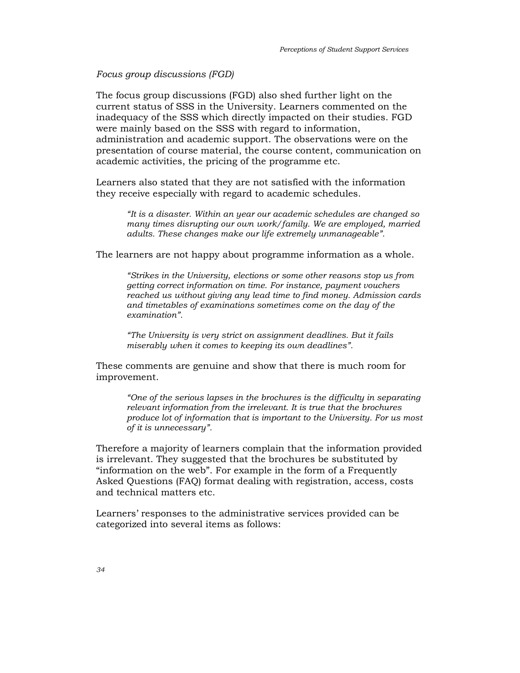## Focus group discussions (FGD)

The focus group discussions (FGD) also shed further light on the current status of SSS in the University. Learners commented on the inadequacy of the SSS which directly impacted on their studies. FGD were mainly based on the SSS with regard to information, administration and academic support. The observations were on the presentation of course material, the course content, communication on academic activities, the pricing of the programme etc.

Learners also stated that they are not satisfied with the information they receive especially with regard to academic schedules.

"It is a disaster. Within an year our academic schedules are changed so many times disrupting our own work/family. We are employed, married adults. These changes make our life extremely unmanageable".

The learners are not happy about programme information as a whole.

"Strikes in the University, elections or some other reasons stop us from getting correct information on time. For instance, payment vouchers reached us without giving any lead time to find money. Admission cards and timetables of examinations sometimes come on the day of the examination".

"The University is very strict on assignment deadlines. But it fails miserably when it comes to keeping its own deadlines".

These comments are genuine and show that there is much room for improvement.

"One of the serious lapses in the brochures is the difficulty in separating relevant information from the irrelevant. It is true that the brochures produce lot of information that is important to the University. For us most of it is unnecessary".

Therefore a majority of learners complain that the information provided is irrelevant. They suggested that the brochures be substituted by "information on the web". For example in the form of a Frequently Asked Questions (FAQ) format dealing with registration, access, costs and technical matters etc.

Learners' responses to the administrative services provided can be categorized into several items as follows: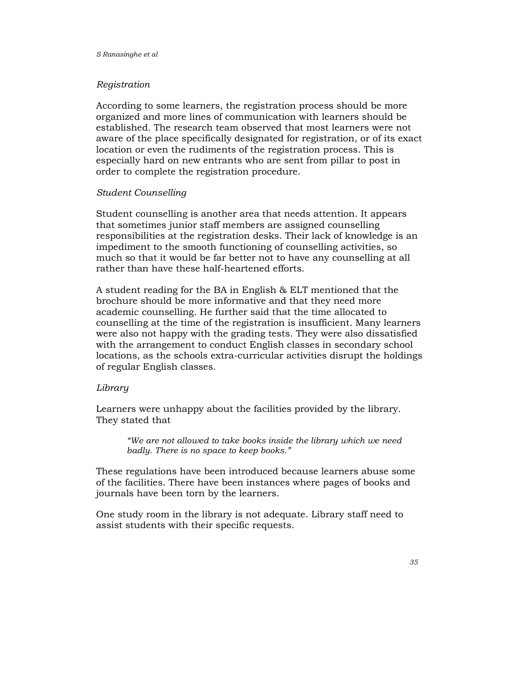## Registration

According to some learners, the registration process should be more organized and more lines of communication with learners should be established. The research team observed that most learners were not aware of the place specifically designated for registration, or of its exact location or even the rudiments of the registration process. This is especially hard on new entrants who are sent from pillar to post in order to complete the registration procedure.

## Student Counselling

Student counselling is another area that needs attention. It appears that sometimes junior staff members are assigned counselling responsibilities at the registration desks. Their lack of knowledge is an impediment to the smooth functioning of counselling activities, so much so that it would be far better not to have any counselling at all rather than have these half-heartened efforts.

A student reading for the BA in English & ELT mentioned that the brochure should be more informative and that they need more academic counselling. He further said that the time allocated to counselling at the time of the registration is insufficient. Many learners were also not happy with the grading tests. They were also dissatisfied with the arrangement to conduct English classes in secondary school locations, as the schools extra-curricular activities disrupt the holdings of regular English classes.

## Library

Learners were unhappy about the facilities provided by the library. They stated that

> "We are not allowed to take books inside the library which we need badly. There is no space to keep books."

These regulations have been introduced because learners abuse some of the facilities. There have been instances where pages of books and journals have been torn by the learners.

One study room in the library is not adequate. Library staff need to assist students with their specific requests.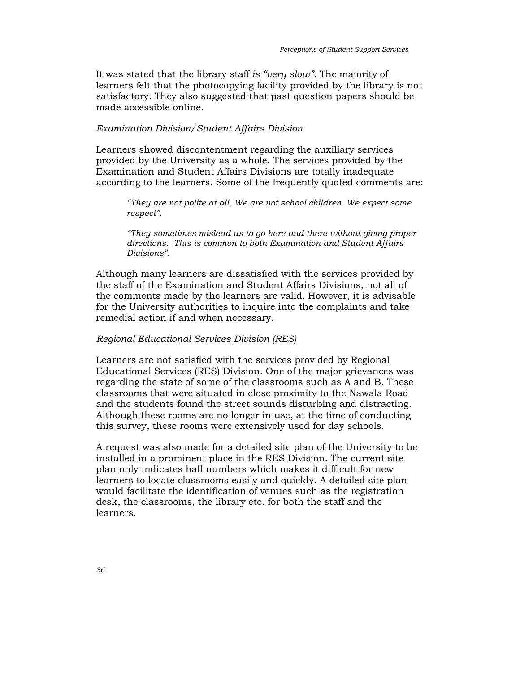It was stated that the library staff is "very slow". The majority of learners felt that the photocopying facility provided by the library is not satisfactory. They also suggested that past question papers should be made accessible online.

#### Examination Division/Student Affairs Division

Learners showed discontentment regarding the auxiliary services provided by the University as a whole. The services provided by the Examination and Student Affairs Divisions are totally inadequate according to the learners. Some of the frequently quoted comments are:

"They are not polite at all. We are not school children. We expect some respect".

"They sometimes mislead us to go here and there without giving proper directions. This is common to both Examination and Student Affairs Divisions".

Although many learners are dissatisfied with the services provided by the staff of the Examination and Student Affairs Divisions, not all of the comments made by the learners are valid. However, it is advisable for the University authorities to inquire into the complaints and take remedial action if and when necessary.

#### Regional Educational Services Division (RES)

Learners are not satisfied with the services provided by Regional Educational Services (RES) Division. One of the major grievances was regarding the state of some of the classrooms such as A and B. These classrooms that were situated in close proximity to the Nawala Road and the students found the street sounds disturbing and distracting. Although these rooms are no longer in use, at the time of conducting this survey, these rooms were extensively used for day schools.

A request was also made for a detailed site plan of the University to be installed in a prominent place in the RES Division. The current site plan only indicates hall numbers which makes it difficult for new learners to locate classrooms easily and quickly. A detailed site plan would facilitate the identification of venues such as the registration desk, the classrooms, the library etc. for both the staff and the learners.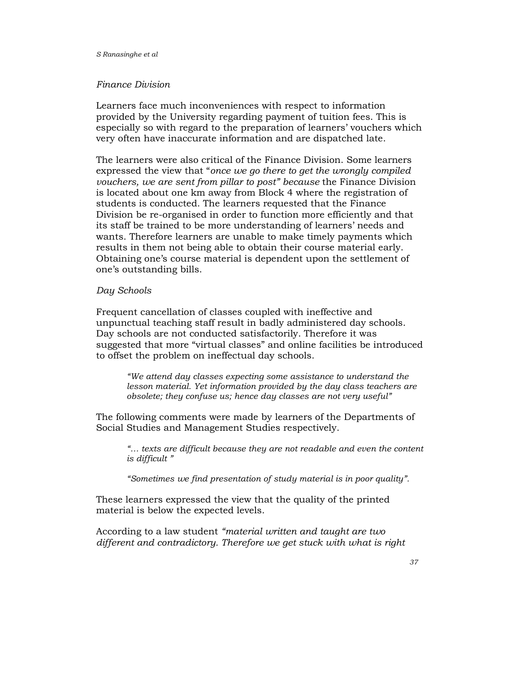#### S Ranasinghe et al

#### Finance Division

Learners face much inconveniences with respect to information provided by the University regarding payment of tuition fees. This is especially so with regard to the preparation of learners' vouchers which very often have inaccurate information and are dispatched late.

The learners were also critical of the Finance Division. Some learners expressed the view that "once we go there to get the wrongly compiled vouchers, we are sent from pillar to post" because the Finance Division is located about one km away from Block 4 where the registration of students is conducted. The learners requested that the Finance Division be re-organised in order to function more efficiently and that its staff be trained to be more understanding of learners' needs and wants. Therefore learners are unable to make timely payments which results in them not being able to obtain their course material early. Obtaining one's course material is dependent upon the settlement of one's outstanding bills.

#### Day Schools

Frequent cancellation of classes coupled with ineffective and unpunctual teaching staff result in badly administered day schools. Day schools are not conducted satisfactorily. Therefore it was suggested that more "virtual classes" and online facilities be introduced to offset the problem on ineffectual day schools.

"We attend day classes expecting some assistance to understand the lesson material. Yet information provided by the day class teachers are obsolete; they confuse us; hence day classes are not very useful"

The following comments were made by learners of the Departments of Social Studies and Management Studies respectively.

"… texts are difficult because they are not readable and even the content is difficult "

"Sometimes we find presentation of study material is in poor quality".

These learners expressed the view that the quality of the printed material is below the expected levels.

According to a law student "material written and taught are two different and contradictory. Therefore we get stuck with what is right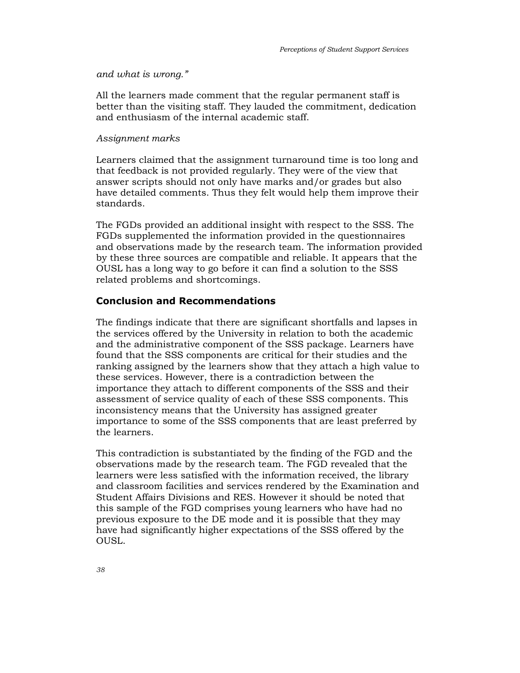#### and what is wrong."

All the learners made comment that the regular permanent staff is better than the visiting staff. They lauded the commitment, dedication and enthusiasm of the internal academic staff.

#### Assignment marks

Learners claimed that the assignment turnaround time is too long and that feedback is not provided regularly. They were of the view that answer scripts should not only have marks and/or grades but also have detailed comments. Thus they felt would help them improve their standards.

The FGDs provided an additional insight with respect to the SSS. The FGDs supplemented the information provided in the questionnaires and observations made by the research team. The information provided by these three sources are compatible and reliable. It appears that the OUSL has a long way to go before it can find a solution to the SSS related problems and shortcomings.

## Conclusion and Recommendations

The findings indicate that there are significant shortfalls and lapses in the services offered by the University in relation to both the academic and the administrative component of the SSS package. Learners have found that the SSS components are critical for their studies and the ranking assigned by the learners show that they attach a high value to these services. However, there is a contradiction between the importance they attach to different components of the SSS and their assessment of service quality of each of these SSS components. This inconsistency means that the University has assigned greater importance to some of the SSS components that are least preferred by the learners.

This contradiction is substantiated by the finding of the FGD and the observations made by the research team. The FGD revealed that the learners were less satisfied with the information received, the library and classroom facilities and services rendered by the Examination and Student Affairs Divisions and RES. However it should be noted that this sample of the FGD comprises young learners who have had no previous exposure to the DE mode and it is possible that they may have had significantly higher expectations of the SSS offered by the OUSL.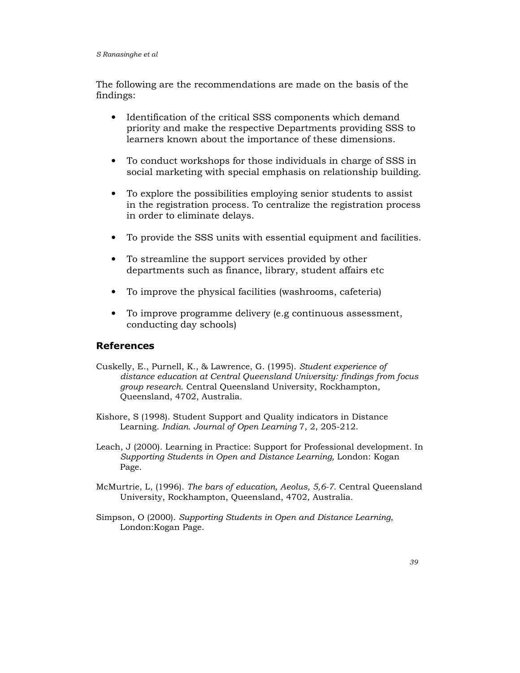The following are the recommendations are made on the basis of the findings:

- Identification of the critical SSS components which demand priority and make the respective Departments providing SSS to learners known about the importance of these dimensions.
- To conduct workshops for those individuals in charge of SSS in social marketing with special emphasis on relationship building.
- To explore the possibilities employing senior students to assist in the registration process. To centralize the registration process in order to eliminate delays.
- To provide the SSS units with essential equipment and facilities.
- To streamline the support services provided by other departments such as finance, library, student affairs etc
- To improve the physical facilities (washrooms, cafeteria)
- To improve programme delivery (e.g continuous assessment, conducting day schools)

# References

- Cuskelly, E., Purnell, K., & Lawrence, G. (1995). Student experience of distance education at Central Queensland University: findings from focus group research. Central Queensland University, Rockhampton, Queensland, 4702, Australia.
- Kishore, S (1998). Student Support and Quality indicators in Distance Learning. Indian. Journal of Open Learning 7, 2, 205-212.
- Leach, J (2000). Learning in Practice: Support for Professional development. In Supporting Students in Open and Distance Learning, London: Kogan Page.
- McMurtrie, L, (1996). The bars of education, Aeolus, 5,6-7. Central Queensland University, Rockhampton, Queensland, 4702, Australia.
- Simpson, O (2000). Supporting Students in Open and Distance Learning, London:Kogan Page.